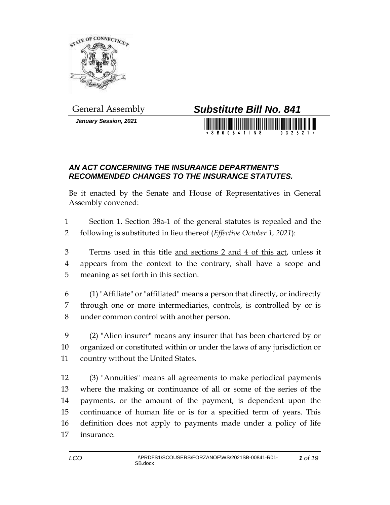

*January Session, 2021*

## General Assembly *Substitute Bill No. 841*

## *AN ACT CONCERNING THE INSURANCE DEPARTMENT'S RECOMMENDED CHANGES TO THE INSURANCE STATUTES.*

Be it enacted by the Senate and House of Representatives in General Assembly convened:

 Section 1. Section 38a-1 of the general statutes is repealed and the following is substituted in lieu thereof (*Effective October 1, 2021*):

 Terms used in this title and sections 2 and 4 of this act, unless it appears from the context to the contrary, shall have a scope and meaning as set forth in this section.

 (1) "Affiliate" or "affiliated" means a person that directly, or indirectly through one or more intermediaries, controls, is controlled by or is under common control with another person.

 (2) "Alien insurer" means any insurer that has been chartered by or organized or constituted within or under the laws of any jurisdiction or country without the United States.

 (3) "Annuities" means all agreements to make periodical payments where the making or continuance of all or some of the series of the payments, or the amount of the payment, is dependent upon the continuance of human life or is for a specified term of years. This definition does not apply to payments made under a policy of life insurance.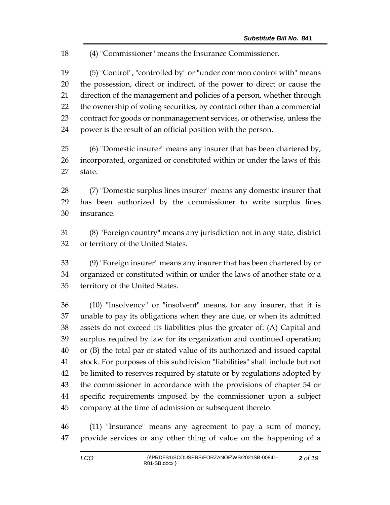(4) "Commissioner" means the Insurance Commissioner.

 (5) "Control", "controlled by" or "under common control with" means the possession, direct or indirect, of the power to direct or cause the direction of the management and policies of a person, whether through the ownership of voting securities, by contract other than a commercial contract for goods or nonmanagement services, or otherwise, unless the power is the result of an official position with the person.

 (6) "Domestic insurer" means any insurer that has been chartered by, incorporated, organized or constituted within or under the laws of this state.

 (7) "Domestic surplus lines insurer" means any domestic insurer that has been authorized by the commissioner to write surplus lines insurance.

 (8) "Foreign country" means any jurisdiction not in any state, district or territory of the United States.

 (9) "Foreign insurer" means any insurer that has been chartered by or organized or constituted within or under the laws of another state or a territory of the United States.

 (10) "Insolvency" or "insolvent" means, for any insurer, that it is unable to pay its obligations when they are due, or when its admitted assets do not exceed its liabilities plus the greater of: (A) Capital and surplus required by law for its organization and continued operation; or (B) the total par or stated value of its authorized and issued capital stock. For purposes of this subdivision "liabilities" shall include but not be limited to reserves required by statute or by regulations adopted by the commissioner in accordance with the provisions of chapter 54 or specific requirements imposed by the commissioner upon a subject company at the time of admission or subsequent thereto.

 (11) "Insurance" means any agreement to pay a sum of money, provide services or any other thing of value on the happening of a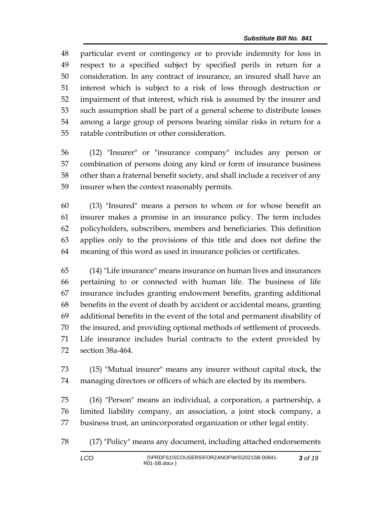particular event or contingency or to provide indemnity for loss in respect to a specified subject by specified perils in return for a consideration. In any contract of insurance, an insured shall have an interest which is subject to a risk of loss through destruction or impairment of that interest, which risk is assumed by the insurer and such assumption shall be part of a general scheme to distribute losses among a large group of persons bearing similar risks in return for a ratable contribution or other consideration.

 (12) "Insurer" or "insurance company" includes any person or combination of persons doing any kind or form of insurance business other than a fraternal benefit society, and shall include a receiver of any insurer when the context reasonably permits.

 (13) "Insured" means a person to whom or for whose benefit an insurer makes a promise in an insurance policy. The term includes policyholders, subscribers, members and beneficiaries. This definition applies only to the provisions of this title and does not define the meaning of this word as used in insurance policies or certificates.

 (14) "Life insurance" means insurance on human lives and insurances pertaining to or connected with human life. The business of life insurance includes granting endowment benefits, granting additional benefits in the event of death by accident or accidental means, granting additional benefits in the event of the total and permanent disability of the insured, and providing optional methods of settlement of proceeds. Life insurance includes burial contracts to the extent provided by section 38a-464.

 (15) "Mutual insurer" means any insurer without capital stock, the managing directors or officers of which are elected by its members.

 (16) "Person" means an individual, a corporation, a partnership, a limited liability company, an association, a joint stock company, a business trust, an unincorporated organization or other legal entity.

(17) "Policy" means any document, including attached endorsements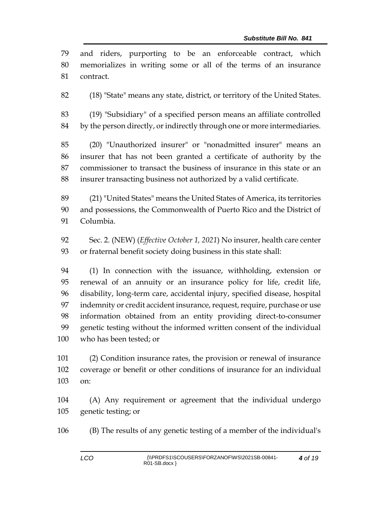| 79  | and riders, purporting to be an enforceable contract, which                       |
|-----|-----------------------------------------------------------------------------------|
| 80  | memorializes in writing some or all of the terms of an insurance                  |
| 81  | contract.                                                                         |
| 82  | (18) "State" means any state, district, or territory of the United States.        |
| 83  | (19) "Subsidiary" of a specified person means an affiliate controlled             |
| 84  | by the person directly, or indirectly through one or more intermediaries.         |
| 85  | (20) "Unauthorized insurer" or "nonadmitted insurer" means an                     |
| 86  | insurer that has not been granted a certificate of authority by the               |
| 87  | commissioner to transact the business of insurance in this state or an            |
| 88  | insurer transacting business not authorized by a valid certificate.               |
| 89  | (21) "United States" means the United States of America, its territories          |
| 90  | and possessions, the Commonwealth of Puerto Rico and the District of              |
| 91  | Columbia.                                                                         |
| 92  | Sec. 2. (NEW) ( <i>Effective October 1, 2021</i> ) No insurer, health care center |
| 93  | or fraternal benefit society doing business in this state shall:                  |
| 94  | (1) In connection with the issuance, withholding, extension or                    |
| 95  | renewal of an annuity or an insurance policy for life, credit life,               |
| 96  | disability, long-term care, accidental injury, specified disease, hospital        |
| 97  | indemnity or credit accident insurance, request, require, purchase or use         |
| 98  | information obtained from an entity providing direct-to-consumer                  |
| 99  | genetic testing without the informed written consent of the individual            |
| 100 | who has been tested; or                                                           |
| 101 | (2) Condition insurance rates, the provision or renewal of insurance              |
| 102 | coverage or benefit or other conditions of insurance for an individual            |
| 103 | on:                                                                               |
| 104 | (A) Any requirement or agreement that the individual undergo                      |
| 105 | genetic testing; or                                                               |

(B) The results of any genetic testing of a member of the individual's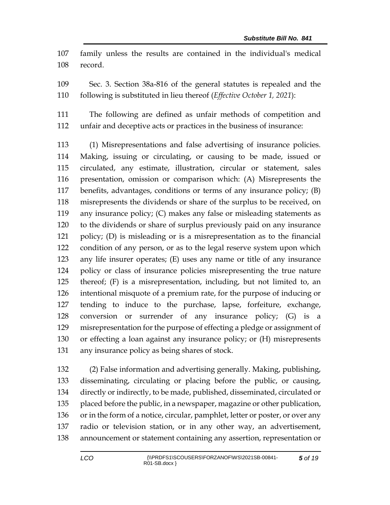family unless the results are contained in the individual's medical record.

 Sec. 3. Section 38a-816 of the general statutes is repealed and the following is substituted in lieu thereof (*Effective October 1, 2021*):

 The following are defined as unfair methods of competition and unfair and deceptive acts or practices in the business of insurance:

 (1) Misrepresentations and false advertising of insurance policies. Making, issuing or circulating, or causing to be made, issued or circulated, any estimate, illustration, circular or statement, sales presentation, omission or comparison which: (A) Misrepresents the benefits, advantages, conditions or terms of any insurance policy; (B) misrepresents the dividends or share of the surplus to be received, on any insurance policy; (C) makes any false or misleading statements as to the dividends or share of surplus previously paid on any insurance policy; (D) is misleading or is a misrepresentation as to the financial condition of any person, or as to the legal reserve system upon which any life insurer operates; (E) uses any name or title of any insurance policy or class of insurance policies misrepresenting the true nature thereof; (F) is a misrepresentation, including, but not limited to, an intentional misquote of a premium rate, for the purpose of inducing or tending to induce to the purchase, lapse, forfeiture, exchange, conversion or surrender of any insurance policy; (G) is a misrepresentation for the purpose of effecting a pledge or assignment of or effecting a loan against any insurance policy; or (H) misrepresents any insurance policy as being shares of stock.

 (2) False information and advertising generally. Making, publishing, disseminating, circulating or placing before the public, or causing, directly or indirectly, to be made, published, disseminated, circulated or placed before the public, in a newspaper, magazine or other publication, or in the form of a notice, circular, pamphlet, letter or poster, or over any radio or television station, or in any other way, an advertisement, announcement or statement containing any assertion, representation or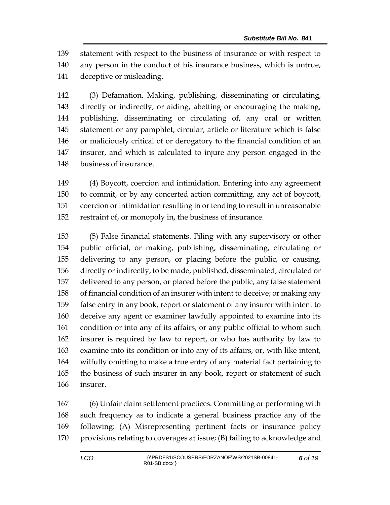statement with respect to the business of insurance or with respect to any person in the conduct of his insurance business, which is untrue, deceptive or misleading.

 (3) Defamation. Making, publishing, disseminating or circulating, directly or indirectly, or aiding, abetting or encouraging the making, publishing, disseminating or circulating of, any oral or written statement or any pamphlet, circular, article or literature which is false or maliciously critical of or derogatory to the financial condition of an insurer, and which is calculated to injure any person engaged in the business of insurance.

 (4) Boycott, coercion and intimidation. Entering into any agreement to commit, or by any concerted action committing, any act of boycott, coercion or intimidation resulting in or tending to result in unreasonable restraint of, or monopoly in, the business of insurance.

 (5) False financial statements. Filing with any supervisory or other public official, or making, publishing, disseminating, circulating or delivering to any person, or placing before the public, or causing, directly or indirectly, to be made, published, disseminated, circulated or delivered to any person, or placed before the public, any false statement of financial condition of an insurer with intent to deceive; or making any false entry in any book, report or statement of any insurer with intent to deceive any agent or examiner lawfully appointed to examine into its condition or into any of its affairs, or any public official to whom such insurer is required by law to report, or who has authority by law to examine into its condition or into any of its affairs, or, with like intent, wilfully omitting to make a true entry of any material fact pertaining to the business of such insurer in any book, report or statement of such insurer.

 (6) Unfair claim settlement practices. Committing or performing with such frequency as to indicate a general business practice any of the following: (A) Misrepresenting pertinent facts or insurance policy provisions relating to coverages at issue; (B) failing to acknowledge and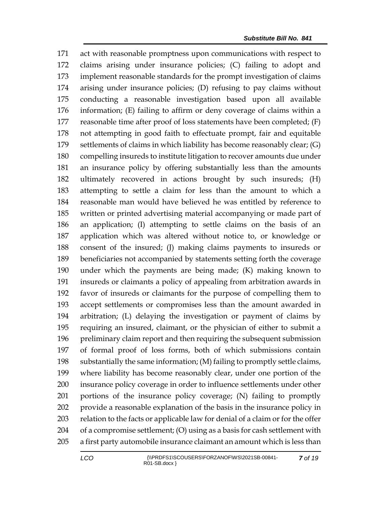act with reasonable promptness upon communications with respect to claims arising under insurance policies; (C) failing to adopt and implement reasonable standards for the prompt investigation of claims arising under insurance policies; (D) refusing to pay claims without conducting a reasonable investigation based upon all available information; (E) failing to affirm or deny coverage of claims within a reasonable time after proof of loss statements have been completed; (F) not attempting in good faith to effectuate prompt, fair and equitable settlements of claims in which liability has become reasonably clear; (G) compelling insureds to institute litigation to recover amounts due under an insurance policy by offering substantially less than the amounts ultimately recovered in actions brought by such insureds; (H) attempting to settle a claim for less than the amount to which a reasonable man would have believed he was entitled by reference to written or printed advertising material accompanying or made part of an application; (I) attempting to settle claims on the basis of an application which was altered without notice to, or knowledge or consent of the insured; (J) making claims payments to insureds or beneficiaries not accompanied by statements setting forth the coverage under which the payments are being made; (K) making known to insureds or claimants a policy of appealing from arbitration awards in favor of insureds or claimants for the purpose of compelling them to accept settlements or compromises less than the amount awarded in arbitration; (L) delaying the investigation or payment of claims by requiring an insured, claimant, or the physician of either to submit a preliminary claim report and then requiring the subsequent submission of formal proof of loss forms, both of which submissions contain substantially the same information; (M) failing to promptly settle claims, where liability has become reasonably clear, under one portion of the insurance policy coverage in order to influence settlements under other portions of the insurance policy coverage; (N) failing to promptly provide a reasonable explanation of the basis in the insurance policy in relation to the facts or applicable law for denial of a claim or for the offer of a compromise settlement; (O) using as a basis for cash settlement with a first party automobile insurance claimant an amount which is less than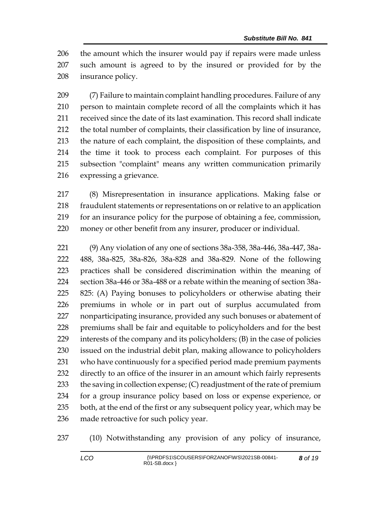the amount which the insurer would pay if repairs were made unless such amount is agreed to by the insured or provided for by the insurance policy.

 (7) Failure to maintain complaint handling procedures. Failure of any person to maintain complete record of all the complaints which it has received since the date of its last examination. This record shall indicate the total number of complaints, their classification by line of insurance, the nature of each complaint, the disposition of these complaints, and the time it took to process each complaint. For purposes of this subsection "complaint" means any written communication primarily expressing a grievance.

 (8) Misrepresentation in insurance applications. Making false or fraudulent statements or representations on or relative to an application for an insurance policy for the purpose of obtaining a fee, commission, money or other benefit from any insurer, producer or individual.

 (9) Any violation of any one of sections 38a-358, 38a-446, 38a-447, 38a- 488, 38a-825, 38a-826, 38a-828 and 38a-829. None of the following practices shall be considered discrimination within the meaning of section 38a-446 or 38a-488 or a rebate within the meaning of section 38a- 825: (A) Paying bonuses to policyholders or otherwise abating their premiums in whole or in part out of surplus accumulated from nonparticipating insurance, provided any such bonuses or abatement of premiums shall be fair and equitable to policyholders and for the best interests of the company and its policyholders; (B) in the case of policies issued on the industrial debit plan, making allowance to policyholders who have continuously for a specified period made premium payments directly to an office of the insurer in an amount which fairly represents 233 the saving in collection expense; (C) readjustment of the rate of premium for a group insurance policy based on loss or expense experience, or both, at the end of the first or any subsequent policy year, which may be made retroactive for such policy year.

(10) Notwithstanding any provision of any policy of insurance,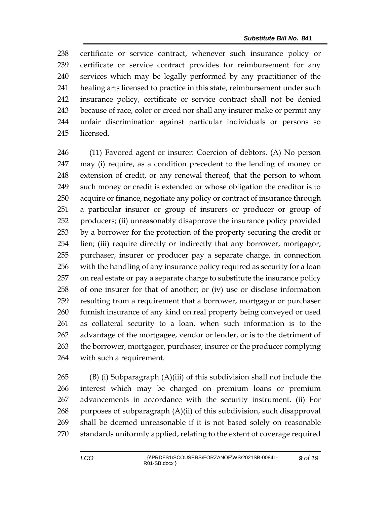certificate or service contract, whenever such insurance policy or certificate or service contract provides for reimbursement for any services which may be legally performed by any practitioner of the healing arts licensed to practice in this state, reimbursement under such insurance policy, certificate or service contract shall not be denied because of race, color or creed nor shall any insurer make or permit any unfair discrimination against particular individuals or persons so licensed.

 (11) Favored agent or insurer: Coercion of debtors. (A) No person may (i) require, as a condition precedent to the lending of money or extension of credit, or any renewal thereof, that the person to whom such money or credit is extended or whose obligation the creditor is to acquire or finance, negotiate any policy or contract of insurance through a particular insurer or group of insurers or producer or group of producers; (ii) unreasonably disapprove the insurance policy provided by a borrower for the protection of the property securing the credit or lien; (iii) require directly or indirectly that any borrower, mortgagor, purchaser, insurer or producer pay a separate charge, in connection with the handling of any insurance policy required as security for a loan on real estate or pay a separate charge to substitute the insurance policy of one insurer for that of another; or (iv) use or disclose information resulting from a requirement that a borrower, mortgagor or purchaser furnish insurance of any kind on real property being conveyed or used as collateral security to a loan, when such information is to the advantage of the mortgagee, vendor or lender, or is to the detriment of the borrower, mortgagor, purchaser, insurer or the producer complying with such a requirement.

 (B) (i) Subparagraph (A)(iii) of this subdivision shall not include the interest which may be charged on premium loans or premium advancements in accordance with the security instrument. (ii) For 268 purposes of subparagraph  $(A)(ii)$  of this subdivision, such disapproval shall be deemed unreasonable if it is not based solely on reasonable standards uniformly applied, relating to the extent of coverage required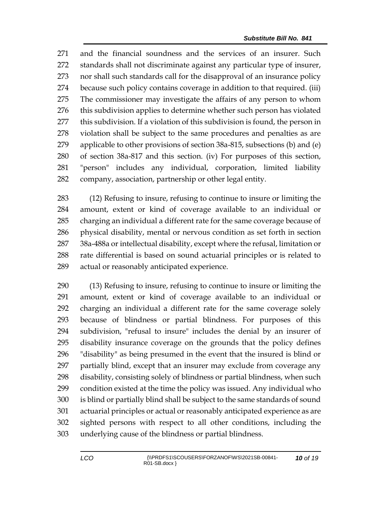and the financial soundness and the services of an insurer. Such standards shall not discriminate against any particular type of insurer, nor shall such standards call for the disapproval of an insurance policy because such policy contains coverage in addition to that required. (iii) The commissioner may investigate the affairs of any person to whom 276 this subdivision applies to determine whether such person has violated this subdivision. If a violation of this subdivision is found, the person in violation shall be subject to the same procedures and penalties as are applicable to other provisions of section 38a-815, subsections (b) and (e) of section 38a-817 and this section. (iv) For purposes of this section, "person" includes any individual, corporation, limited liability company, association, partnership or other legal entity.

 (12) Refusing to insure, refusing to continue to insure or limiting the amount, extent or kind of coverage available to an individual or charging an individual a different rate for the same coverage because of physical disability, mental or nervous condition as set forth in section 38a-488a or intellectual disability, except where the refusal, limitation or rate differential is based on sound actuarial principles or is related to actual or reasonably anticipated experience.

 (13) Refusing to insure, refusing to continue to insure or limiting the amount, extent or kind of coverage available to an individual or charging an individual a different rate for the same coverage solely because of blindness or partial blindness. For purposes of this subdivision, "refusal to insure" includes the denial by an insurer of disability insurance coverage on the grounds that the policy defines "disability" as being presumed in the event that the insured is blind or partially blind, except that an insurer may exclude from coverage any disability, consisting solely of blindness or partial blindness, when such condition existed at the time the policy was issued. Any individual who is blind or partially blind shall be subject to the same standards of sound actuarial principles or actual or reasonably anticipated experience as are sighted persons with respect to all other conditions, including the underlying cause of the blindness or partial blindness.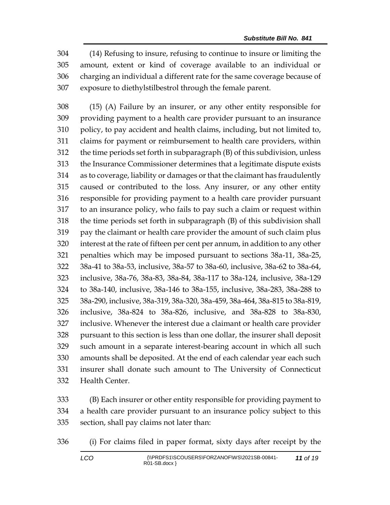(14) Refusing to insure, refusing to continue to insure or limiting the amount, extent or kind of coverage available to an individual or charging an individual a different rate for the same coverage because of exposure to diethylstilbestrol through the female parent.

 (15) (A) Failure by an insurer, or any other entity responsible for providing payment to a health care provider pursuant to an insurance policy, to pay accident and health claims, including, but not limited to, claims for payment or reimbursement to health care providers, within the time periods set forth in subparagraph (B) of this subdivision, unless the Insurance Commissioner determines that a legitimate dispute exists as to coverage, liability or damages or that the claimant has fraudulently caused or contributed to the loss. Any insurer, or any other entity responsible for providing payment to a health care provider pursuant to an insurance policy, who fails to pay such a claim or request within the time periods set forth in subparagraph (B) of this subdivision shall pay the claimant or health care provider the amount of such claim plus interest at the rate of fifteen per cent per annum, in addition to any other penalties which may be imposed pursuant to sections 38a-11, 38a-25, 38a-41 to 38a-53, inclusive, 38a-57 to 38a-60, inclusive, 38a-62 to 38a-64, inclusive, 38a-76, 38a-83, 38a-84, 38a-117 to 38a-124, inclusive, 38a-129 to 38a-140, inclusive, 38a-146 to 38a-155, inclusive, 38a-283, 38a-288 to 38a-290, inclusive, 38a-319, 38a-320, 38a-459, 38a-464, 38a-815 to 38a-819, inclusive, 38a-824 to 38a-826, inclusive, and 38a-828 to 38a-830, inclusive. Whenever the interest due a claimant or health care provider pursuant to this section is less than one dollar, the insurer shall deposit such amount in a separate interest-bearing account in which all such amounts shall be deposited. At the end of each calendar year each such insurer shall donate such amount to The University of Connecticut Health Center.

 (B) Each insurer or other entity responsible for providing payment to a health care provider pursuant to an insurance policy subject to this section, shall pay claims not later than:

(i) For claims filed in paper format, sixty days after receipt by the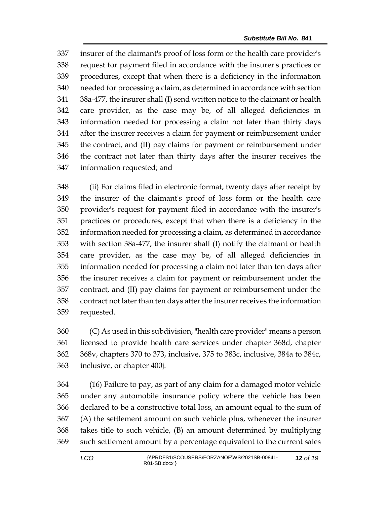insurer of the claimant's proof of loss form or the health care provider's request for payment filed in accordance with the insurer's practices or procedures, except that when there is a deficiency in the information needed for processing a claim, as determined in accordance with section 38a-477, the insurer shall (I) send written notice to the claimant or health care provider, as the case may be, of all alleged deficiencies in information needed for processing a claim not later than thirty days after the insurer receives a claim for payment or reimbursement under the contract, and (II) pay claims for payment or reimbursement under the contract not later than thirty days after the insurer receives the information requested; and

 (ii) For claims filed in electronic format, twenty days after receipt by the insurer of the claimant's proof of loss form or the health care provider's request for payment filed in accordance with the insurer's practices or procedures, except that when there is a deficiency in the information needed for processing a claim, as determined in accordance with section 38a-477, the insurer shall (I) notify the claimant or health care provider, as the case may be, of all alleged deficiencies in information needed for processing a claim not later than ten days after the insurer receives a claim for payment or reimbursement under the contract, and (II) pay claims for payment or reimbursement under the contract not later than ten days after the insurer receives the information requested.

 (C) As used in this subdivision, "health care provider" means a person licensed to provide health care services under chapter 368d, chapter 368v, chapters 370 to 373, inclusive, 375 to 383c, inclusive, 384a to 384c, inclusive, or chapter 400j.

 (16) Failure to pay, as part of any claim for a damaged motor vehicle under any automobile insurance policy where the vehicle has been declared to be a constructive total loss, an amount equal to the sum of (A) the settlement amount on such vehicle plus, whenever the insurer takes title to such vehicle, (B) an amount determined by multiplying such settlement amount by a percentage equivalent to the current sales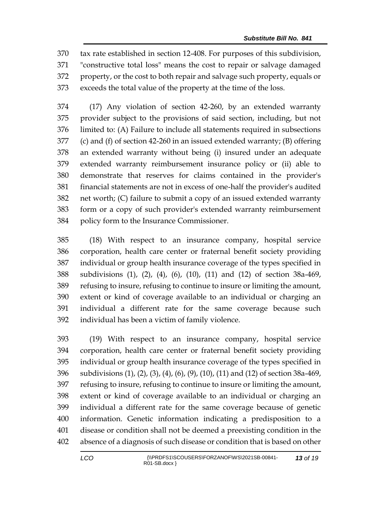tax rate established in section 12-408. For purposes of this subdivision, "constructive total loss" means the cost to repair or salvage damaged property, or the cost to both repair and salvage such property, equals or exceeds the total value of the property at the time of the loss.

 (17) Any violation of section 42-260, by an extended warranty provider subject to the provisions of said section, including, but not limited to: (A) Failure to include all statements required in subsections (c) and (f) of section 42-260 in an issued extended warranty; (B) offering an extended warranty without being (i) insured under an adequate extended warranty reimbursement insurance policy or (ii) able to demonstrate that reserves for claims contained in the provider's financial statements are not in excess of one-half the provider's audited net worth; (C) failure to submit a copy of an issued extended warranty form or a copy of such provider's extended warranty reimbursement policy form to the Insurance Commissioner.

 (18) With respect to an insurance company, hospital service corporation, health care center or fraternal benefit society providing individual or group health insurance coverage of the types specified in subdivisions (1), (2), (4), (6), (10), (11) and (12) of section 38a-469, refusing to insure, refusing to continue to insure or limiting the amount, extent or kind of coverage available to an individual or charging an individual a different rate for the same coverage because such individual has been a victim of family violence.

 (19) With respect to an insurance company, hospital service corporation, health care center or fraternal benefit society providing individual or group health insurance coverage of the types specified in subdivisions (1), (2), (3), (4), (6), (9), (10), (11) and (12) of section 38a-469, refusing to insure, refusing to continue to insure or limiting the amount, extent or kind of coverage available to an individual or charging an individual a different rate for the same coverage because of genetic information. Genetic information indicating a predisposition to a disease or condition shall not be deemed a preexisting condition in the absence of a diagnosis of such disease or condition that is based on other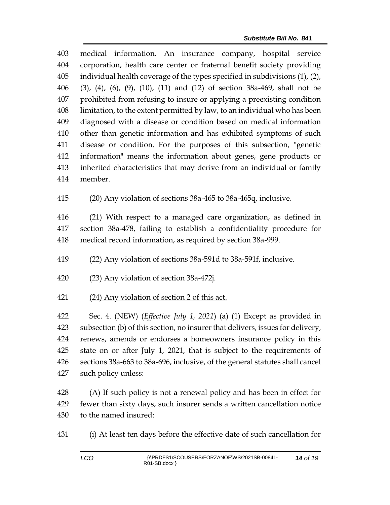medical information. An insurance company, hospital service corporation, health care center or fraternal benefit society providing individual health coverage of the types specified in subdivisions (1), (2), (3), (4), (6), (9), (10), (11) and (12) of section 38a-469, shall not be prohibited from refusing to insure or applying a preexisting condition limitation, to the extent permitted by law, to an individual who has been diagnosed with a disease or condition based on medical information other than genetic information and has exhibited symptoms of such disease or condition. For the purposes of this subsection, "genetic information" means the information about genes, gene products or inherited characteristics that may derive from an individual or family member.

(20) Any violation of sections 38a-465 to 38a-465q, inclusive.

 (21) With respect to a managed care organization, as defined in section 38a-478, failing to establish a confidentiality procedure for medical record information, as required by section 38a-999.

(22) Any violation of sections 38a-591d to 38a-591f, inclusive.

- (23) Any violation of section 38a-472j.
- (24) Any violation of section 2 of this act.

 Sec. 4. (NEW) (*Effective July 1, 2021*) (a) (1) Except as provided in subsection (b) of this section, no insurer that delivers, issues for delivery, renews, amends or endorses a homeowners insurance policy in this state on or after July 1, 2021, that is subject to the requirements of sections 38a-663 to 38a-696, inclusive, of the general statutes shall cancel such policy unless:

428 (A) If such policy is not a renewal policy and has been in effect for fewer than sixty days, such insurer sends a written cancellation notice to the named insured:

(i) At least ten days before the effective date of such cancellation for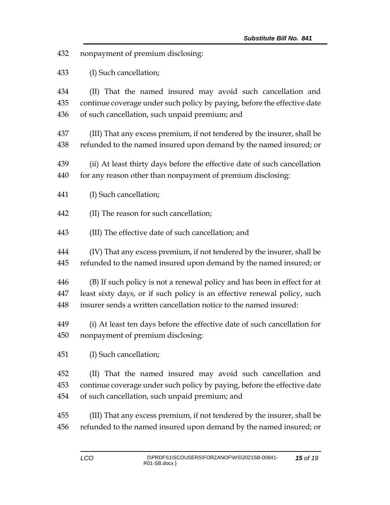nonpayment of premium disclosing:

(I) Such cancellation;

 (II) That the named insured may avoid such cancellation and continue coverage under such policy by paying, before the effective date of such cancellation, such unpaid premium; and

 (III) That any excess premium, if not tendered by the insurer, shall be refunded to the named insured upon demand by the named insured; or

 (ii) At least thirty days before the effective date of such cancellation 440 for any reason other than nonpayment of premium disclosing:

(I) Such cancellation;

(II) The reason for such cancellation;

(III) The effective date of such cancellation; and

 (IV) That any excess premium, if not tendered by the insurer, shall be refunded to the named insured upon demand by the named insured; or

 (B) If such policy is not a renewal policy and has been in effect for at least sixty days, or if such policy is an effective renewal policy, such insurer sends a written cancellation notice to the named insured:

 (i) At least ten days before the effective date of such cancellation for nonpayment of premium disclosing:

(I) Such cancellation;

 (II) That the named insured may avoid such cancellation and continue coverage under such policy by paying, before the effective date of such cancellation, such unpaid premium; and

 (III) That any excess premium, if not tendered by the insurer, shall be refunded to the named insured upon demand by the named insured; or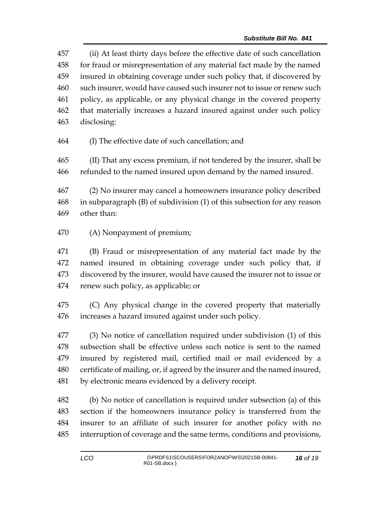(ii) At least thirty days before the effective date of such cancellation for fraud or misrepresentation of any material fact made by the named insured in obtaining coverage under such policy that, if discovered by such insurer, would have caused such insurer not to issue or renew such policy, as applicable, or any physical change in the covered property that materially increases a hazard insured against under such policy disclosing:

(I) The effective date of such cancellation; and

 (II) That any excess premium, if not tendered by the insurer, shall be refunded to the named insured upon demand by the named insured.

 (2) No insurer may cancel a homeowners insurance policy described in subparagraph (B) of subdivision (1) of this subsection for any reason other than:

(A) Nonpayment of premium;

 (B) Fraud or misrepresentation of any material fact made by the named insured in obtaining coverage under such policy that, if discovered by the insurer, would have caused the insurer not to issue or renew such policy, as applicable; or

 (C) Any physical change in the covered property that materially increases a hazard insured against under such policy.

 (3) No notice of cancellation required under subdivision (1) of this subsection shall be effective unless such notice is sent to the named insured by registered mail, certified mail or mail evidenced by a certificate of mailing, or, if agreed by the insurer and the named insured, by electronic means evidenced by a delivery receipt.

 (b) No notice of cancellation is required under subsection (a) of this section if the homeowners insurance policy is transferred from the insurer to an affiliate of such insurer for another policy with no interruption of coverage and the same terms, conditions and provisions,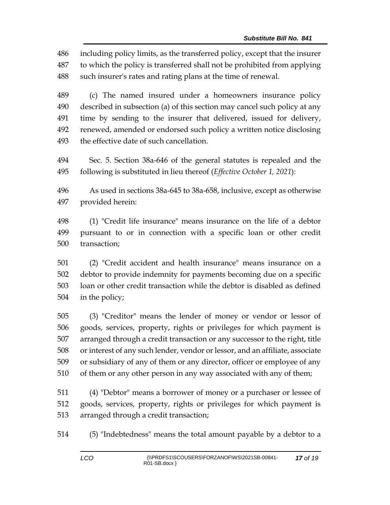including policy limits, as the transferred policy, except that the insurer to which the policy is transferred shall not be prohibited from applying such insurer's rates and rating plans at the time of renewal.

 (c) The named insured under a homeowners insurance policy described in subsection (a) of this section may cancel such policy at any time by sending to the insurer that delivered, issued for delivery, renewed, amended or endorsed such policy a written notice disclosing the effective date of such cancellation.

 Sec. 5. Section 38a-646 of the general statutes is repealed and the following is substituted in lieu thereof (*Effective October 1, 2021*):

 As used in sections 38a-645 to 38a-658, inclusive, except as otherwise provided herein:

 (1) "Credit life insurance" means insurance on the life of a debtor pursuant to or in connection with a specific loan or other credit transaction;

 (2) "Credit accident and health insurance" means insurance on a debtor to provide indemnity for payments becoming due on a specific loan or other credit transaction while the debtor is disabled as defined in the policy;

 (3) "Creditor" means the lender of money or vendor or lessor of goods, services, property, rights or privileges for which payment is arranged through a credit transaction or any successor to the right, title or interest of any such lender, vendor or lessor, and an affiliate, associate or subsidiary of any of them or any director, officer or employee of any of them or any other person in any way associated with any of them;

 (4) "Debtor" means a borrower of money or a purchaser or lessee of goods, services, property, rights or privileges for which payment is arranged through a credit transaction;

(5) "Indebtedness" means the total amount payable by a debtor to a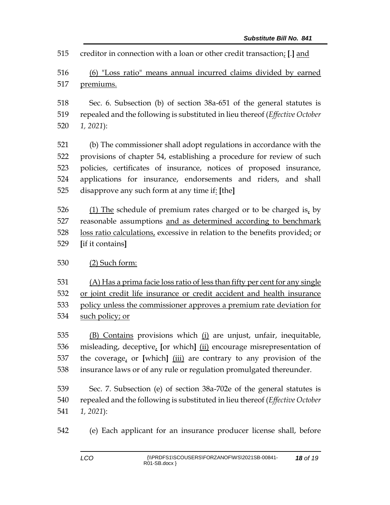creditor in connection with a loan or other credit transaction; **[**.**]** and

 (6) "Loss ratio" means annual incurred claims divided by earned premiums.

 Sec. 6. Subsection (b) of section 38a-651 of the general statutes is repealed and the following is substituted in lieu thereof (*Effective October 1, 2021*):

 (b) The commissioner shall adopt regulations in accordance with the provisions of chapter 54, establishing a procedure for review of such policies, certificates of insurance, notices of proposed insurance, applications for insurance, endorsements and riders, and shall disapprove any such form at any time if: **[**the**]**

 (1) The schedule of premium rates charged or to be charged is, by reasonable assumptions and as determined according to benchmark loss ratio calculations, excessive in relation to the benefits provided; or **[**if it contains**]**

## (2) Such form:

 (A) Has a prima facie loss ratio of less than fifty per cent for any single or joint credit life insurance or credit accident and health insurance policy unless the commissioner approves a premium rate deviation for 534 such policy; or

 (B) Contains provisions which (i) are unjust, unfair, inequitable, misleading, deceptive, **[**or which**]** (ii) encourage misrepresentation of the coverage, or **[**which**]** (iii) are contrary to any provision of the insurance laws or of any rule or regulation promulgated thereunder.

 Sec. 7. Subsection (e) of section 38a-702e of the general statutes is repealed and the following is substituted in lieu thereof (*Effective October 1, 2021*):

(e) Each applicant for an insurance producer license shall, before